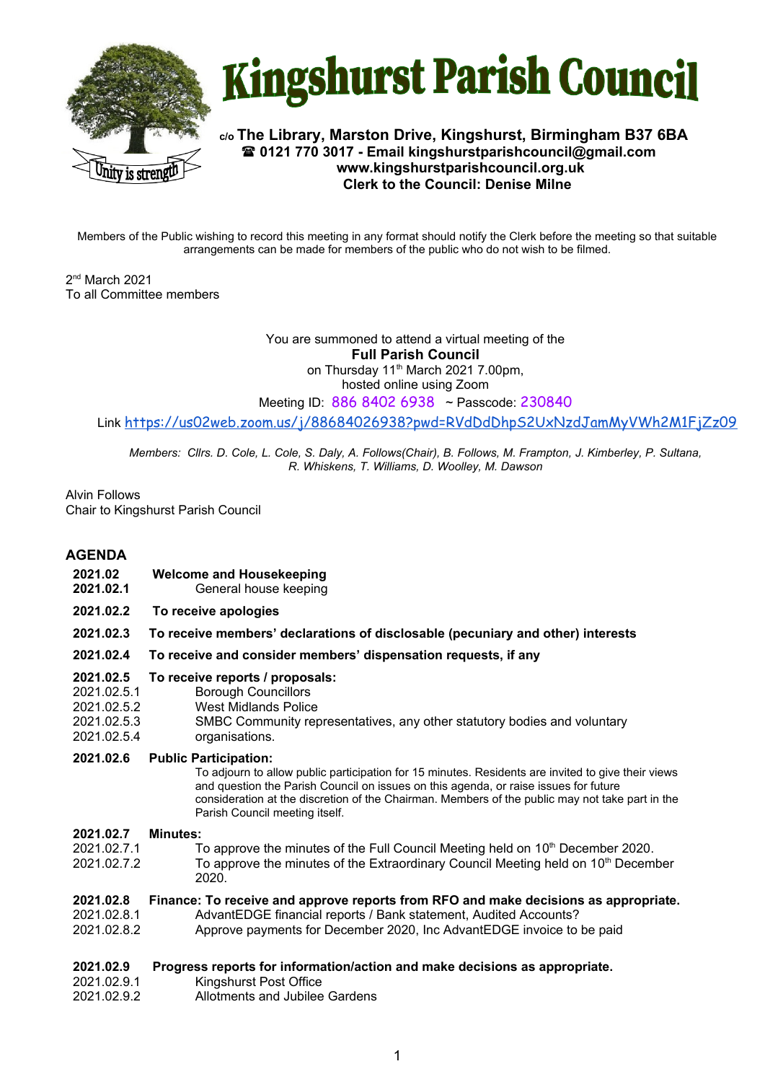



**c/o The Library, Marston Drive, Kingshurst, Birmingham B37 6BA 0121 770 3017 - Email kingshurstparishcouncil@gmail.com www.kingshurstparishcouncil.org.uk Clerk to the Council: Denise Milne**

Members of the Public wishing to record this meeting in any format should notify the Clerk before the meeting so that suitable arrangements can be made for members of the public who do not wish to be filmed.

2 nd March 2021 To all Committee members

> You are summoned to attend a virtual meeting of the **Full Parish Council**  on Thursday 11<sup>th</sup> March 2021 7.00pm, hosted online using Zoom

Meeting ID: 886 8402 6938 ~ Passcode: 230840

Link https://us02web.zoom.us/j/88684026938?pwd=RVdDdDhpS2UxNzdJamMyVWh2M1FjZz09

*Members: Cllrs. D. Cole, L. Cole, S. Daly, A. Follows(Chair), B. Follows, M. Frampton, J. Kimberley, P. Sultana, R. Whiskens, T. Williams, D. Woolley, M. Dawson*

Alvin Follows Chair to Kingshurst Parish Council

# **AGENDA**

- **2021.02 Welcome and Housekeeping**
- **2021.02.1** General house keeping
- **2021.02.2 To receive apologies**
- **2021.02.3 To receive members' declarations of disclosable (pecuniary and other) interests**
- **2021.02.4 To receive and consider members' dispensation requests, if any**

### **2021.02.5 To receive reports / proposals:**

- 2021.02.5.1 Borough Councillors
- 2021.02.5.2 West Midlands Police
- 2021.02.5.3 SMBC Community representatives, any other statutory bodies and voluntary
- 2021.02.5.4 organisations.

## **2021.02.6 Public Participation:**

To adjourn to allow public participation for 15 minutes. Residents are invited to give their views and question the Parish Council on issues on this agenda, or raise issues for future consideration at the discretion of the Chairman. Members of the public may not take part in the Parish Council meeting itself.

### **2021.02.7 Minutes:**

- 2021.02.7.1 To approve the minutes of the Full Council Meeting held on 10<sup>th</sup> December 2020.
- 2021.02.7.2 To approve the minutes of the Extraordinary Council Meeting held on 10<sup>th</sup> December 2020.

### **2021.02.8 Finance: To receive and approve reports from RFO and make decisions as appropriate.**

- 2021.02.8.1 AdvantEDGE financial reports / Bank statement, Audited Accounts?
- 2021.02.8.2 Approve payments for December 2020, Inc AdvantEDGE invoice to be paid

### **2021.02.9 Progress reports for information/action and make decisions as appropriate.**

- 2021.02.9.1 Kingshurst Post Office
- 2021.02.9.2 Allotments and Jubilee Gardens